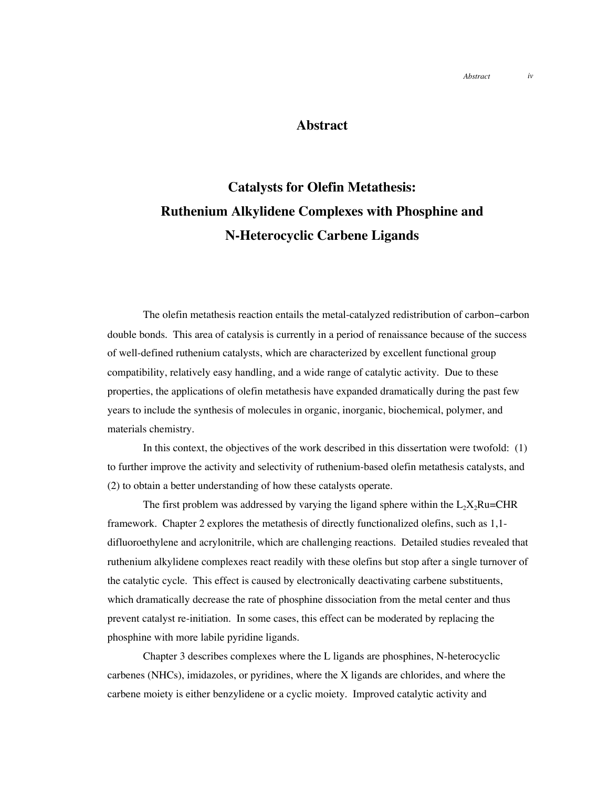## **Abstract**

## **Catalysts for Olefin Metathesis: Ruthenium Alkylidene Complexes with Phosphine and N-Heterocyclic Carbene Ligands**

The olefin metathesis reaction entails the metal-catalyzed redistribution of carbon−carbon double bonds. This area of catalysis is currently in a period of renaissance because of the success of well-defined ruthenium catalysts, which are characterized by excellent functional group compatibility, relatively easy handling, and a wide range of catalytic activity. Due to these properties, the applications of olefin metathesis have expanded dramatically during the past few years to include the synthesis of molecules in organic, inorganic, biochemical, polymer, and materials chemistry.

In this context, the objectives of the work described in this dissertation were twofold: (1) to further improve the activity and selectivity of ruthenium-based olefin metathesis catalysts, and (2) to obtain a better understanding of how these catalysts operate.

The first problem was addressed by varying the ligand sphere within the  $L_2X_2Ru=CHR$ framework. Chapter 2 explores the metathesis of directly functionalized olefins, such as 1,1 difluoroethylene and acrylonitrile, which are challenging reactions. Detailed studies revealed that ruthenium alkylidene complexes react readily with these olefins but stop after a single turnover of the catalytic cycle. This effect is caused by electronically deactivating carbene substituents, which dramatically decrease the rate of phosphine dissociation from the metal center and thus prevent catalyst re-initiation. In some cases, this effect can be moderated by replacing the phosphine with more labile pyridine ligands.

Chapter 3 describes complexes where the L ligands are phosphines, N-heterocyclic carbenes (NHCs), imidazoles, or pyridines, where the X ligands are chlorides, and where the carbene moiety is either benzylidene or a cyclic moiety. Improved catalytic activity and